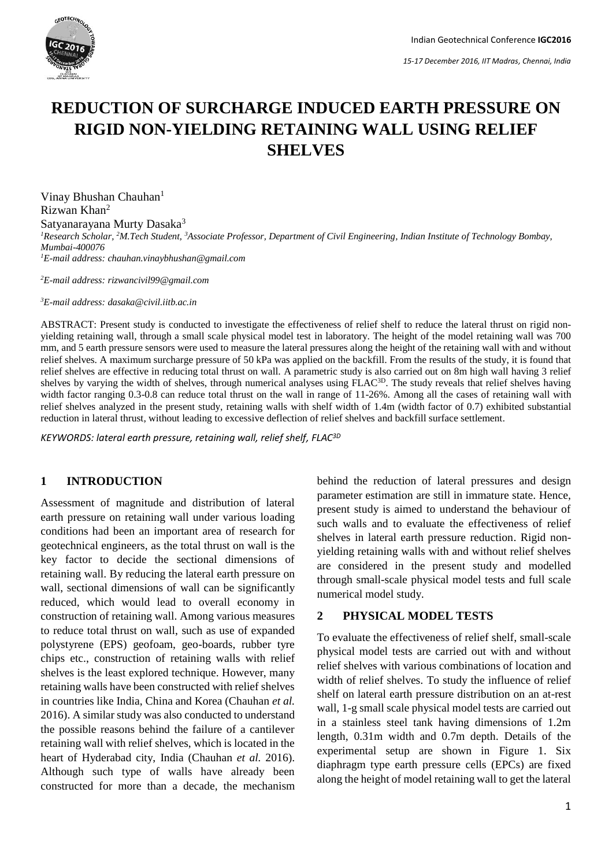

# **REDUCTION OF SURCHARGE INDUCED EARTH PRESSURE ON RIGID NON-YIELDING RETAINING WALL USING RELIEF SHELVES**

Vinay Bhushan Chauhan<sup>1</sup> Rizwan Khan<sup>2</sup> Satyanarayana Murty Dasaka<sup>3</sup>

*<sup>1</sup>Research Scholar, <sup>2</sup>M.Tech Student, <sup>3</sup>Associate Professor, Department of Civil Engineering, Indian Institute of Technology Bombay, Mumbai-400076 <sup>1</sup>E-mail address: chauhan.vinaybhushan@gmail.com*

*<sup>2</sup>E-mail address: rizwancivil99@gmail.com*

*<sup>3</sup>E-mail address: dasaka@civil.iitb.ac.in*

ABSTRACT: Present study is conducted to investigate the effectiveness of relief shelf to reduce the lateral thrust on rigid nonyielding retaining wall, through a small scale physical model test in laboratory. The height of the model retaining wall was 700 mm, and 5 earth pressure sensors were used to measure the lateral pressures along the height of the retaining wall with and without relief shelves. A maximum surcharge pressure of 50 kPa was applied on the backfill. From the results of the study, it is found that relief shelves are effective in reducing total thrust on wall. A parametric study is also carried out on 8m high wall having 3 relief shelves by varying the width of shelves, through numerical analyses using FLAC<sup>3D</sup>. The study reveals that relief shelves having width factor ranging 0.3-0.8 can reduce total thrust on the wall in range of 11-26%. Among all the cases of retaining wall with relief shelves analyzed in the present study, retaining walls with shelf width of 1.4m (width factor of 0.7) exhibited substantial reduction in lateral thrust, without leading to excessive deflection of relief shelves and backfill surface settlement.

*KEYWORDS: lateral earth pressure, retaining wall, relief shelf, FLAC3D*

#### **1 INTRODUCTION**

Assessment of magnitude and distribution of lateral earth pressure on retaining wall under various loading conditions had been an important area of research for geotechnical engineers, as the total thrust on wall is the key factor to decide the sectional dimensions of retaining wall. By reducing the lateral earth pressure on wall, sectional dimensions of wall can be significantly reduced, which would lead to overall economy in construction of retaining wall. Among various measures to reduce total thrust on wall, such as use of expanded polystyrene (EPS) geofoam, geo-boards, rubber tyre chips etc., construction of retaining walls with relief shelves is the least explored technique. However, many retaining walls have been constructed with relief shelves in countries like India, China and Korea (Chauhan *et al.* 2016). A similar study was also conducted to understand the possible reasons behind the failure of a cantilever retaining wall with relief shelves, which is located in the heart of Hyderabad city, India (Chauhan *et al.* 2016). Although such type of walls have already been constructed for more than a decade, the mechanism behind the reduction of lateral pressures and design parameter estimation are still in immature state. Hence, present study is aimed to understand the behaviour of such walls and to evaluate the effectiveness of relief shelves in lateral earth pressure reduction. Rigid nonyielding retaining walls with and without relief shelves are considered in the present study and modelled through small-scale physical model tests and full scale numerical model study.

#### **2 PHYSICAL MODEL TESTS**

To evaluate the effectiveness of relief shelf, small-scale physical model tests are carried out with and without relief shelves with various combinations of location and width of relief shelves. To study the influence of relief shelf on lateral earth pressure distribution on an at-rest wall, 1-g small scale physical model tests are carried out in a stainless steel tank having dimensions of 1.2m length, 0.31m width and 0.7m depth. Details of the experimental setup are shown in Figure 1. Six diaphragm type earth pressure cells (EPCs) are fixed along the height of model retaining wall to get the lateral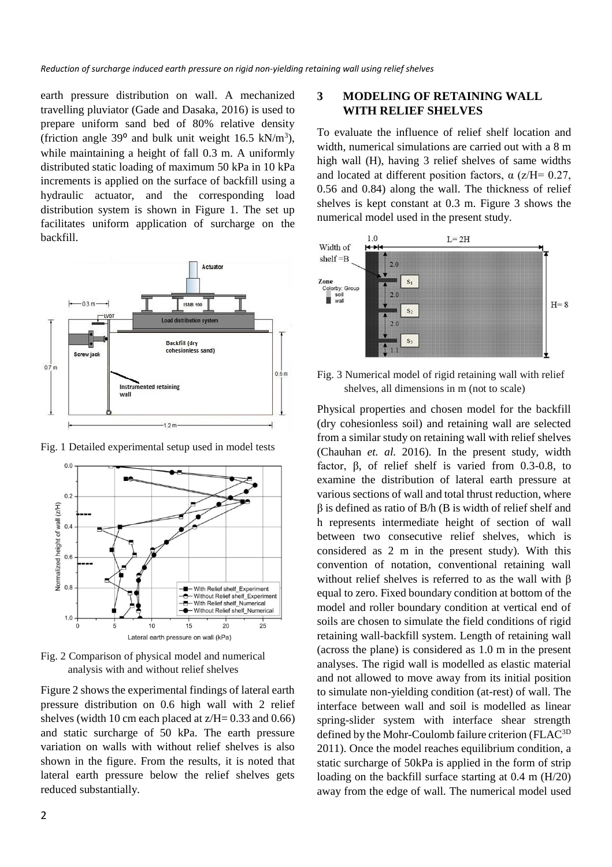earth pressure distribution on wall. A mechanized travelling pluviator (Gade and Dasaka, 2016) is used to prepare uniform sand bed of 80% relative density (friction angle  $39^{\circ}$  and bulk unit weight 16.5 kN/m<sup>3</sup>), while maintaining a height of fall 0.3 m. A uniformly distributed static loading of maximum 50 kPa in 10 kPa increments is applied on the surface of backfill using a hydraulic actuator, and the corresponding load distribution system is shown in Figure 1. The set up facilitates uniform application of surcharge on the backfill.





Fig. 1 Detailed experimental setup used in model tests

Fig. 2 Comparison of physical model and numerical analysis with and without relief shelves

Figure 2 shows the experimental findings of lateral earth pressure distribution on 0.6 high wall with 2 relief shelves (width 10 cm each placed at  $z/H = 0.33$  and 0.66) and static surcharge of 50 kPa. The earth pressure variation on walls with without relief shelves is also shown in the figure. From the results, it is noted that lateral earth pressure below the relief shelves gets reduced substantially.

## **3 MODELING OF RETAINING WALL WITH RELIEF SHELVES**

To evaluate the influence of relief shelf location and width, numerical simulations are carried out with a 8 m high wall (H), having 3 relief shelves of same widths and located at different position factors,  $\alpha$  ( $z/H$ = 0.27, 0.56 and 0.84) along the wall. The thickness of relief shelves is kept constant at 0.3 m. Figure 3 shows the numerical model used in the present study.



Fig. 3 Numerical model of rigid retaining wall with relief shelves, all dimensions in m (not to scale)

Physical properties and chosen model for the backfill (dry cohesionless soil) and retaining wall are selected from a similar study on retaining wall with relief shelves (Chauhan *et. al.* 2016). In the present study, width factor, β, of relief shelf is varied from 0.3-0.8, to examine the distribution of lateral earth pressure at various sections of wall and total thrust reduction, where β is defined as ratio of B/h (B is width of relief shelf and h represents intermediate height of section of wall between two consecutive relief shelves, which is considered as 2 m in the present study). With this convention of notation, conventional retaining wall without relief shelves is referred to as the wall with β equal to zero. Fixed boundary condition at bottom of the model and roller boundary condition at vertical end of soils are chosen to simulate the field conditions of rigid retaining wall-backfill system. Length of retaining wall (across the plane) is considered as 1.0 m in the present analyses. The rigid wall is modelled as elastic material and not allowed to move away from its initial position to simulate non-yielding condition (at-rest) of wall. The interface between wall and soil is modelled as linear spring-slider system with interface shear strength defined by the Mohr-Coulomb failure criterion (FLAC3D 2011). Once the model reaches equilibrium condition, a static surcharge of 50kPa is applied in the form of strip loading on the backfill surface starting at 0.4 m (H/20) away from the edge of wall. The numerical model used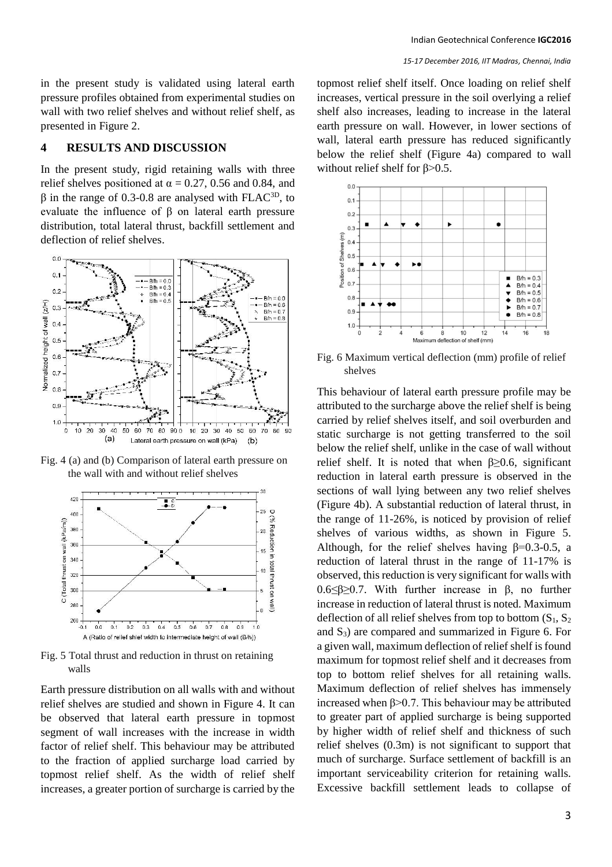*15-17 December 2016, IIT Madras, Chennai, India*

in the present study is validated using lateral earth pressure profiles obtained from experimental studies on wall with two relief shelves and without relief shelf, as presented in Figure 2.

## **4 RESULTS AND DISCUSSION**

In the present study, rigid retaining walls with three relief shelves positioned at  $\alpha = 0.27$ , 0.56 and 0.84, and  $β$  in the range of 0.3-0.8 are analysed with FLAC<sup>3D</sup>, to evaluate the influence of β on lateral earth pressure distribution, total lateral thrust, backfill settlement and deflection of relief shelves.



Fig. 4 (a) and (b) Comparison of lateral earth pressure on the wall with and without relief shelves



Fig. 5 Total thrust and reduction in thrust on retaining walls

Earth pressure distribution on all walls with and without relief shelves are studied and shown in Figure 4. It can be observed that lateral earth pressure in topmost segment of wall increases with the increase in width factor of relief shelf. This behaviour may be attributed to the fraction of applied surcharge load carried by topmost relief shelf. As the width of relief shelf increases, a greater portion of surcharge is carried by the

topmost relief shelf itself. Once loading on relief shelf increases, vertical pressure in the soil overlying a relief shelf also increases, leading to increase in the lateral earth pressure on wall. However, in lower sections of wall, lateral earth pressure has reduced significantly below the relief shelf (Figure 4a) compared to wall without relief shelf for β>0.5.



Fig. 6 Maximum vertical deflection (mm) profile of relief shelves

This behaviour of lateral earth pressure profile may be attributed to the surcharge above the relief shelf is being carried by relief shelves itself, and soil overburden and static surcharge is not getting transferred to the soil below the relief shelf, unlike in the case of wall without relief shelf. It is noted that when  $\beta \geq 0.6$ , significant reduction in lateral earth pressure is observed in the sections of wall lying between any two relief shelves (Figure 4b). A substantial reduction of lateral thrust, in the range of 11-26%, is noticed by provision of relief shelves of various widths, as shown in Figure 5. Although, for the relief shelves having  $\beta = 0.3 - 0.5$ , a reduction of lateral thrust in the range of 11-17% is observed, this reduction is very significant for walls with 0.6≤β≥0.7. With further increase in β, no further increase in reduction of lateral thrust is noted. Maximum deflection of all relief shelves from top to bottom  $(S_1, S_2)$ and  $S_3$ ) are compared and summarized in Figure 6. For a given wall, maximum deflection of relief shelf is found maximum for topmost relief shelf and it decreases from top to bottom relief shelves for all retaining walls. Maximum deflection of relief shelves has immensely increased when β>0.7. This behaviour may be attributed to greater part of applied surcharge is being supported by higher width of relief shelf and thickness of such relief shelves (0.3m) is not significant to support that much of surcharge. Surface settlement of backfill is an important serviceability criterion for retaining walls. Excessive backfill settlement leads to collapse of